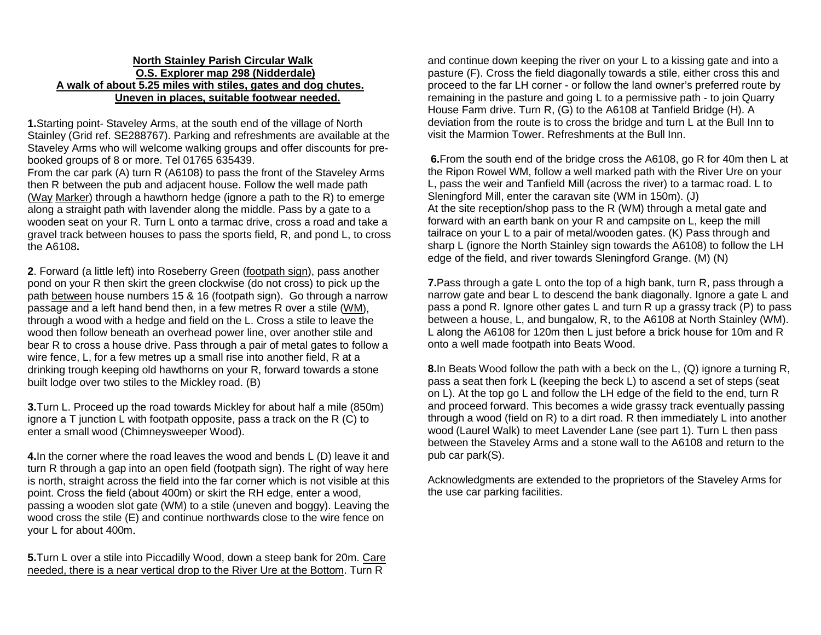## **North Stainley Parish Circular Walk O.S. Explorer map 298 (Nidderdale) A walk of about 5.25 miles with stiles, gates and dog chutes. Uneven in places, suitable footwear needed.**

**1.**Starting point- Staveley Arms, at the south end of the village of North Stainley (Grid ref. SE288767). Parking and refreshments are available at the Staveley Arms who will welcome walking groups and offer discounts for prebooked groups of 8 or more. Tel 01765 635439.

From the car park (A) turn R (A6108) to pass the front of the Staveley Arms then R between the pub and adjacent house. Follow the well made path (Way Marker) through a hawthorn hedge (ignore a path to the R) to emerge along a straight path with lavender along the middle. Pass by a gate to a wooden seat on your R. Turn L onto a tarmac drive, cross a road and take a gravel track between houses to pass the sports field, R, and pond L, to cross the A6108**.**

**2**. Forward (a little left) into Roseberry Green (footpath sign), pass another pond on your R then skirt the green clockwise (do not cross) to pick up the path between house numbers 15 & 16 (footpath sign). Go through a narrow passage and a left hand bend then, in a few metres R over a stile (WM), through a wood with a hedge and field on the L. Cross a stile to leave the wood then follow beneath an overhead power line, over another stile and bear R to cross a house drive. Pass through a pair of metal gates to follow a wire fence, L, for a few metres up a small rise into another field, R at a drinking trough keeping old hawthorns on your R, forward towards a stone built lodge over two stiles to the Mickley road. (B)

**3.**Turn L. Proceed up the road towards Mickley for about half a mile (850m) ignore a T junction L with footpath opposite, pass a track on the R (C) to enter a small wood (Chimneysweeper Wood).

**4.**In the corner where the road leaves the wood and bends L (D) leave it and turn R through a gap into an open field (footpath sign). The right of way here is north, straight across the field into the far corner which is not visible at this point. Cross the field (about 400m) or skirt the RH edge, enter a wood, passing a wooden slot gate (WM) to a stile (uneven and boggy). Leaving the wood cross the stile (E) and continue northwards close to the wire fence on your L for about 400m.

**5.**Turn L over a stile into Piccadilly Wood, down a steep bank for 20m. Care needed, there is a near vertical drop to the River Ure at the Bottom. Turn R

and continue down keeping the river on your L to a kissing gate and into a pasture (F). Cross the field diagonally towards a stile, either cross this and proceed to the far LH corner - or follow the land owner's preferred route by remaining in the pasture and going L to a permissive path - to join Quarry House Farm drive. Turn R, (G) to the A6108 at Tanfield Bridge (H). A deviation from the route is to cross the bridge and turn L at the Bull Inn to visit the Marmion Tower. Refreshments at the Bull Inn.

**6.**From the south end of the bridge cross the A6108, go R for 40m then L at the Ripon Rowel WM, follow a well marked path with the River Ure on your L, pass the weir and Tanfield Mill (across the river) to a tarmac road. L to Sleningford Mill, enter the caravan site (WM in 150m). (J) At the site reception/shop pass to the R (WM) through a metal gate and forward with an earth bank on your R and campsite on L, keep the mill tailrace on your L to a pair of metal/wooden gates. (K) Pass through and sharp L (ignore the North Stainley sign towards the A6108) to follow the LH edge of the field, and river towards Sleningford Grange. (M) (N)

**7.**Pass through a gate L onto the top of a high bank, turn R, pass through a narrow gate and bear L to descend the bank diagonally. Ignore a gate L and pass a pond R. Ignore other gates L and turn R up a grassy track (P) to pass between a house, L, and bungalow, R, to the A6108 at North Stainley (WM). L along the A6108 for 120m then L just before a brick house for 10m and R onto a well made footpath into Beats Wood.

**8.**In Beats Wood follow the path with a beck on the L, (Q) ignore a turning R, pass a seat then fork L (keeping the beck L) to ascend a set of steps (seat on L). At the top go L and follow the LH edge of the field to the end, turn R and proceed forward. This becomes a wide grassy track eventually passing through a wood (field on R) to a dirt road. R then immediately L into another wood (Laurel Walk) to meet Lavender Lane (see part 1). Turn L then pass between the Staveley Arms and a stone wall to the A6108 and return to the pub car park(S).

Acknowledgments are extended to the proprietors of the Staveley Arms for the use car parking facilities.